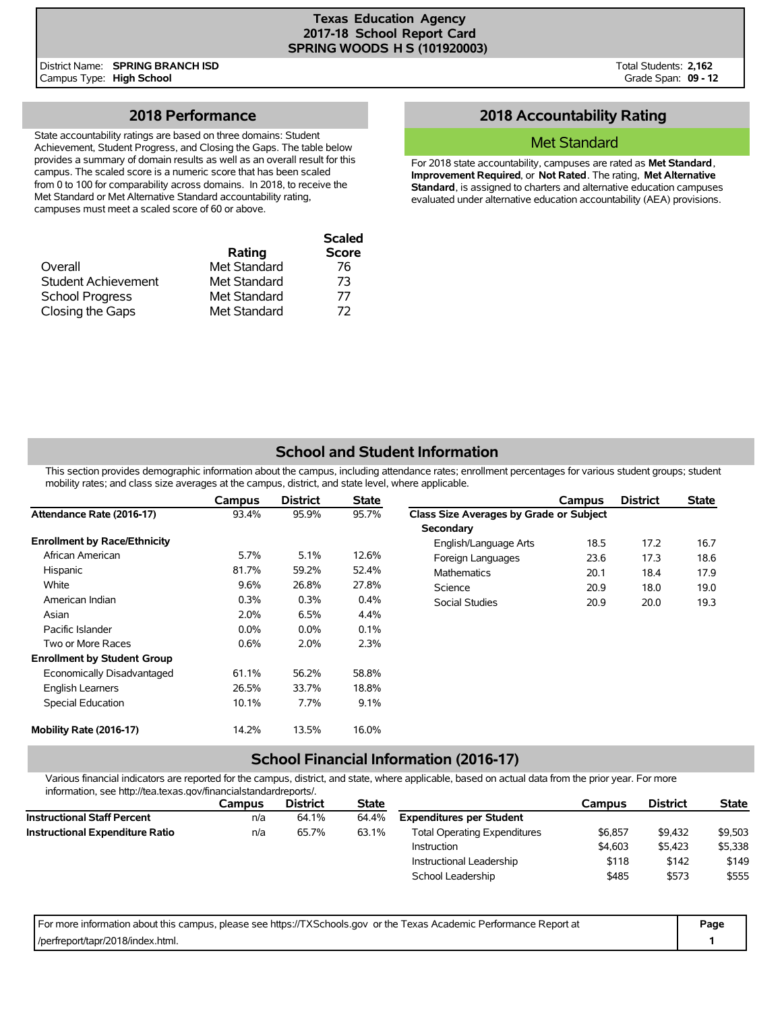District Name: **SPRING BRANCH ISD** Campus Type: **High School**

Total Students: **2,162** Grade Span: **09 - 12**

## **2018 Performance**

State accountability ratings are based on three domains: Student Achievement, Student Progress, and Closing the Gaps. The table below provides a summary of domain results as well as an overall result for this campus. The scaled score is a numeric score that has been scaled from 0 to 100 for comparability across domains. In 2018, to receive the Met Standard or Met Alternative Standard accountability rating, campuses must meet a scaled score of 60 or above.

| Overall                | Rating<br>Met Standard | <b>Scaled</b><br><b>Score</b><br>76 |
|------------------------|------------------------|-------------------------------------|
| Student Achievement    | Met Standard           | 73                                  |
| <b>School Progress</b> | Met Standard           | 77                                  |
| Closing the Gaps       | Met Standard           | 72                                  |

## **2018 Accountability Rating**

#### Met Standard

For 2018 state accountability, campuses are rated as **Met Standard**, **Improvement Required**, or **Not Rated**. The rating, **Met Alternative Standard**, is assigned to charters and alternative education campuses evaluated under alternative education accountability (AEA) provisions.

## **School and Student Information**

This section provides demographic information about the campus, including attendance rates; enrollment percentages for various student groups; student mobility rates; and class size averages at the campus, district, and state level, where applicable.

|                                     | Campus  | <b>District</b> | <b>State</b> |                                         | Campus | <b>District</b> | <b>State</b> |
|-------------------------------------|---------|-----------------|--------------|-----------------------------------------|--------|-----------------|--------------|
| Attendance Rate (2016-17)           | 93.4%   | 95.9%           | 95.7%        | Class Size Averages by Grade or Subject |        |                 |              |
|                                     |         |                 |              | Secondary                               |        |                 |              |
| <b>Enrollment by Race/Ethnicity</b> |         |                 |              | English/Language Arts                   | 18.5   | 17.2            | 16.7         |
| African American                    | 5.7%    | 5.1%            | 12.6%        | Foreign Languages                       | 23.6   | 17.3            | 18.6         |
| Hispanic                            | 81.7%   | 59.2%           | 52.4%        | Mathematics                             | 20.1   | 18.4            | 17.9         |
| White                               | 9.6%    | 26.8%           | 27.8%        | Science                                 | 20.9   | 18.0            | 19.0         |
| American Indian                     | 0.3%    | 0.3%            | 0.4%         | Social Studies                          | 20.9   | 20.0            | 19.3         |
| Asian                               | 2.0%    | 6.5%            | 4.4%         |                                         |        |                 |              |
| Pacific Islander                    | $0.0\%$ | $0.0\%$         | 0.1%         |                                         |        |                 |              |
| Two or More Races                   | 0.6%    | 2.0%            | 2.3%         |                                         |        |                 |              |
| <b>Enrollment by Student Group</b>  |         |                 |              |                                         |        |                 |              |
| Economically Disadvantaged          | 61.1%   | 56.2%           | 58.8%        |                                         |        |                 |              |
| <b>English Learners</b>             | 26.5%   | 33.7%           | 18.8%        |                                         |        |                 |              |
| <b>Special Education</b>            | 10.1%   | 7.7%            | 9.1%         |                                         |        |                 |              |
| Mobility Rate (2016-17)             | 14.2%   | 13.5%           | 16.0%        |                                         |        |                 |              |

## **School Financial Information (2016-17)**

Various financial indicators are reported for the campus, district, and state, where applicable, based on actual data from the prior year. For more information, see http://tea.texas.gov/financialstandardreports/.

| Campus | <b>District</b> | <b>State</b> |                                     | Campus  | <b>District</b> | <b>State</b> |
|--------|-----------------|--------------|-------------------------------------|---------|-----------------|--------------|
| n/a    | 64.1%           | 64.4%        | <b>Expenditures per Student</b>     |         |                 |              |
| n/a    | 65.7%           | 63.1%        | <b>Total Operating Expenditures</b> | \$6,857 | \$9,432         | \$9,503      |
|        |                 |              | Instruction                         | \$4.603 | \$5,423         | \$5,338      |
|        |                 |              | Instructional Leadership            | \$118   | \$142           | \$149        |
|        |                 |              | School Leadership                   | \$485   | \$573           | \$555        |
|        |                 |              |                                     |         |                 |              |

| For more information about this campus, please see https://TXSchools.gov or the Texas Academic Performance Report at | Page |
|----------------------------------------------------------------------------------------------------------------------|------|
| /perfreport/tapr/2018/index.html.                                                                                    |      |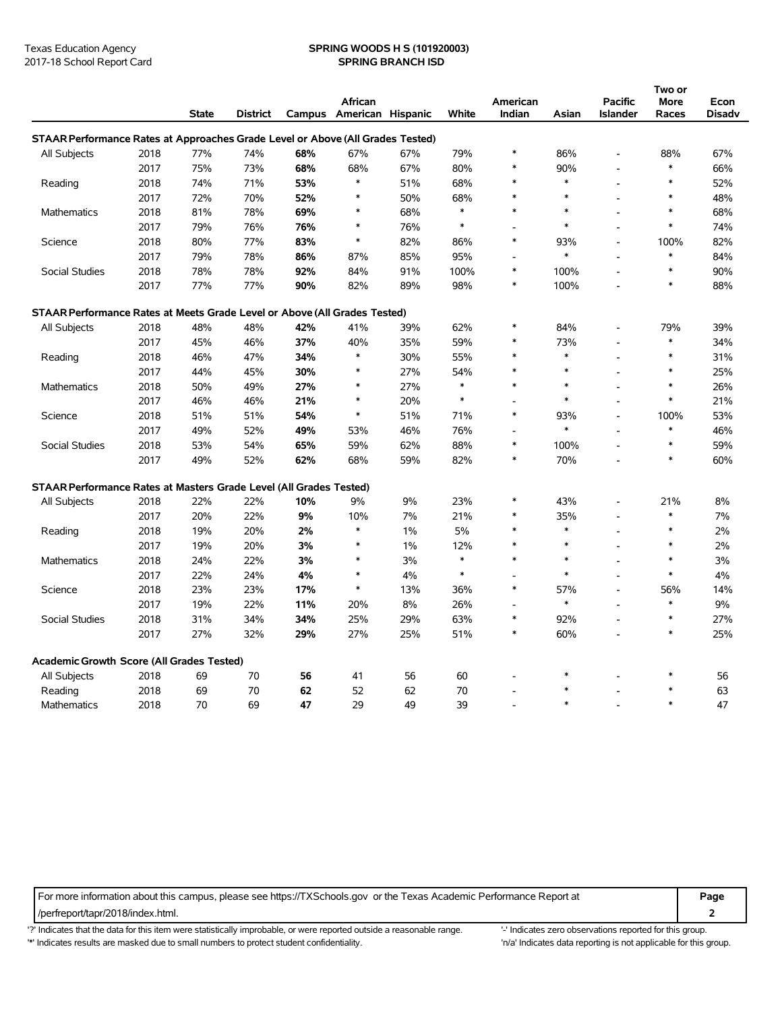#### Texas Education Agency **SPRING WOODS H S (101920003)** 2017-18 School Report Card **SPRING BRANCH ISD**

|                                                                                |      |              |                 |     |                          |     |              |                |        |                 | Two or |               |
|--------------------------------------------------------------------------------|------|--------------|-----------------|-----|--------------------------|-----|--------------|----------------|--------|-----------------|--------|---------------|
|                                                                                |      |              |                 |     | African                  |     |              | American       |        | <b>Pacific</b>  | More   | Econ          |
|                                                                                |      | <b>State</b> | <b>District</b> |     | Campus American Hispanic |     | <b>White</b> | Indian         | Asian  | <b>Islander</b> | Races  | <b>Disadv</b> |
| STAAR Performance Rates at Approaches Grade Level or Above (All Grades Tested) |      |              |                 |     |                          |     |              |                |        |                 |        |               |
| All Subjects                                                                   | 2018 | 77%          | 74%             | 68% | 67%                      | 67% | 79%          | *              | 86%    |                 | 88%    | 67%           |
|                                                                                | 2017 | 75%          | 73%             | 68% | 68%                      | 67% | 80%          | $\ast$         | 90%    |                 | $\ast$ | 66%           |
| Reading                                                                        | 2018 | 74%          | 71%             | 53% | $\ast$                   | 51% | 68%          |                | $\ast$ |                 | $\ast$ | 52%           |
|                                                                                | 2017 | 72%          | 70%             | 52% | $\ast$                   | 50% | 68%          | $\ast$         | $\ast$ | $\overline{a}$  | $\ast$ | 48%           |
| <b>Mathematics</b>                                                             | 2018 | 81%          | 78%             | 69% | $\ast$                   | 68% | $\ast$       |                | $\ast$ |                 | $\ast$ | 68%           |
|                                                                                | 2017 | 79%          | 76%             | 76% | $\ast$                   | 76% | $\ast$       |                | $\ast$ |                 | $\ast$ | 74%           |
| Science                                                                        | 2018 | 80%          | 77%             | 83% | $\ast$                   | 82% | 86%          | $\ast$         | 93%    |                 | 100%   | 82%           |
|                                                                                | 2017 | 79%          | 78%             | 86% | 87%                      | 85% | 95%          | $\overline{a}$ | $\ast$ | $\overline{a}$  | $\ast$ | 84%           |
| Social Studies                                                                 | 2018 | 78%          | 78%             | 92% | 84%                      | 91% | 100%         | $\ast$         | 100%   | $\overline{a}$  | $\ast$ | 90%           |
|                                                                                | 2017 | 77%          | 77%             | 90% | 82%                      | 89% | 98%          | $\ast$         | 100%   |                 | $\ast$ | 88%           |
| STAAR Performance Rates at Meets Grade Level or Above (All Grades Tested)      |      |              |                 |     |                          |     |              |                |        |                 |        |               |
| All Subjects                                                                   | 2018 | 48%          | 48%             | 42% | 41%                      | 39% | 62%          | $\ast$         | 84%    |                 | 79%    | 39%           |
|                                                                                | 2017 | 45%          | 46%             | 37% | 40%                      | 35% | 59%          | $\ast$         | 73%    |                 | $\ast$ | 34%           |
| Reading                                                                        | 2018 | 46%          | 47%             | 34% | $\ast$                   | 30% | 55%          | $\ast$         | $\ast$ | $\overline{a}$  | $\ast$ | 31%           |
|                                                                                | 2017 | 44%          | 45%             | 30% | *                        | 27% | 54%          |                | $\ast$ | $\overline{a}$  | $\ast$ | 25%           |
| <b>Mathematics</b>                                                             | 2018 | 50%          | 49%             | 27% | $\ast$                   | 27% | $\ast$       | $\ast$         | $\ast$ |                 | $\ast$ | 26%           |
|                                                                                | 2017 | 46%          | 46%             | 21% | $\ast$                   | 20% | $\ast$       |                | $\ast$ | $\overline{a}$  | $\ast$ | 21%           |
| Science                                                                        | 2018 | 51%          | 51%             | 54% | $\ast$                   | 51% | 71%          | $\ast$         | 93%    | $\overline{a}$  | 100%   | 53%           |
|                                                                                | 2017 | 49%          | 52%             | 49% | 53%                      | 46% | 76%          |                | $\ast$ | $\overline{a}$  | $\ast$ | 46%           |
| Social Studies                                                                 | 2018 | 53%          | 54%             | 65% | 59%                      | 62% | 88%          | $\ast$         | 100%   |                 | $\ast$ | 59%           |
|                                                                                | 2017 | 49%          | 52%             | 62% | 68%                      | 59% | 82%          | $\ast$         | 70%    |                 | $\ast$ | 60%           |
| STAAR Performance Rates at Masters Grade Level (All Grades Tested)             |      |              |                 |     |                          |     |              |                |        |                 |        |               |
| All Subjects                                                                   | 2018 | 22%          | 22%             | 10% | 9%                       | 9%  | 23%          | $\ast$         | 43%    |                 | 21%    | 8%            |
|                                                                                | 2017 | 20%          | 22%             | 9%  | 10%                      | 7%  | 21%          | $\ast$         | 35%    | $\overline{a}$  | $\ast$ | 7%            |
| Reading                                                                        | 2018 | 19%          | 20%             | 2%  | $\ast$                   | 1%  | 5%           |                | $\ast$ | L,              | $\ast$ | 2%            |
|                                                                                | 2017 | 19%          | 20%             | 3%  | $\ast$                   | 1%  | 12%          |                | $\ast$ | $\overline{a}$  | $\ast$ | 2%            |
| <b>Mathematics</b>                                                             | 2018 | 24%          | 22%             | 3%  | $\ast$                   | 3%  | $\ast$       | $\ast$         | $\ast$ | $\overline{a}$  | $\ast$ | 3%            |
|                                                                                | 2017 | 22%          | 24%             | 4%  | $\ast$                   | 4%  | $\ast$       |                | $\ast$ |                 | $\ast$ | $4\%$         |
| Science                                                                        | 2018 | 23%          | 23%             | 17% | $\ast$                   | 13% | 36%          | $\ast$         | 57%    | $\overline{a}$  | 56%    | 14%           |
|                                                                                | 2017 | 19%          | 22%             | 11% | 20%                      | 8%  | 26%          |                | $\ast$ |                 | $\ast$ | 9%            |
| Social Studies                                                                 | 2018 | 31%          | 34%             | 34% | 25%                      | 29% | 63%          | $\ast$         | 92%    | $\overline{a}$  | $\ast$ | 27%           |
|                                                                                | 2017 | 27%          | 32%             | 29% | 27%                      | 25% | 51%          | $\ast$         | 60%    | L,              | $\ast$ | 25%           |
| <b>Academic Growth Score (All Grades Tested)</b>                               |      |              |                 |     |                          |     |              |                |        |                 |        |               |
| All Subjects                                                                   | 2018 | 69           | $70\,$          | 56  | 41                       | 56  | 60           |                | $\ast$ |                 | $\ast$ | 56            |
| Reading                                                                        | 2018 | 69           | 70              | 62  | 52                       | 62  | 70           |                |        |                 | $\ast$ | 63            |
| Mathematics                                                                    | 2018 | 70           | 69              | 47  | 29                       | 49  | 39           |                | $\ast$ |                 | $\ast$ | 47            |

For more information about this campus, please see https://TXSchools.gov or the Texas Academic Performance Report at **Page**

/perfreport/tapr/2018/index.html. **2**

'?' Indicates that the data for this item were statistically improbable, or were reported outside a reasonable range. '' Indicates zero observations reported for this group. '\*' Indicates results are masked due to small numbers to protect student confidentiality. Moreover, the this discussed at a reporting is not applicable for this group.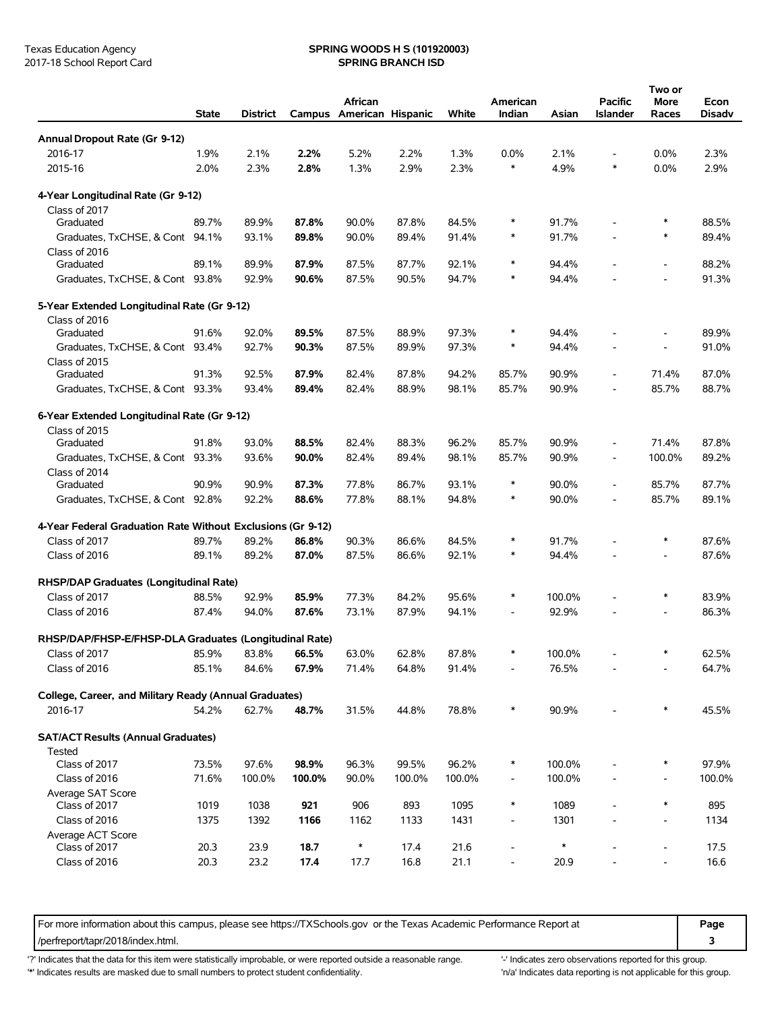# Texas Education Agency **SPRING WOODS H S (101920003)**<br>
2017-18 School Report Card **SPRING BRANCH ISD**

|                                                             | <b>State</b> | <b>District</b> |        | African | Campus American Hispanic | White  | American<br>Indian       | Asian  | Pacific<br><b>Islander</b> | Two or<br>More<br>Races  | Econ<br><b>Disadv</b> |
|-------------------------------------------------------------|--------------|-----------------|--------|---------|--------------------------|--------|--------------------------|--------|----------------------------|--------------------------|-----------------------|
| Annual Dropout Rate (Gr 9-12)                               |              |                 |        |         |                          |        |                          |        |                            |                          |                       |
| 2016-17                                                     | 1.9%         | 2.1%            | 2.2%   | 5.2%    | 2.2%                     | 1.3%   | 0.0%                     | 2.1%   | $\overline{\phantom{a}}$   | $0.0\%$                  | 2.3%                  |
| 2015-16                                                     | 2.0%         | 2.3%            | 2.8%   | 1.3%    | 2.9%                     | 2.3%   | $\ast$                   | 4.9%   | *                          | $0.0\%$                  | 2.9%                  |
|                                                             |              |                 |        |         |                          |        |                          |        |                            |                          |                       |
| 4-Year Longitudinal Rate (Gr 9-12)                          |              |                 |        |         |                          |        |                          |        |                            |                          |                       |
| Class of 2017                                               |              |                 |        |         |                          |        |                          |        |                            |                          |                       |
| Graduated                                                   | 89.7%        | 89.9%           | 87.8%  | 90.0%   | 87.8%                    | 84.5%  | $\ast$                   | 91.7%  |                            | ∗                        | 88.5%                 |
| Graduates, TxCHSE, & Cont 94.1%                             |              | 93.1%           | 89.8%  | 90.0%   | 89.4%                    | 91.4%  | $\ast$                   | 91.7%  |                            | ∗                        | 89.4%                 |
| Class of 2016                                               |              |                 |        |         |                          |        | $\ast$                   |        |                            |                          |                       |
| Graduated                                                   | 89.1%        | 89.9%           | 87.9%  | 87.5%   | 87.7%                    | 92.1%  |                          | 94.4%  |                            | $\overline{\phantom{a}}$ | 88.2%                 |
| Graduates, TxCHSE, & Cont 93.8%                             |              | 92.9%           | 90.6%  | 87.5%   | 90.5%                    | 94.7%  | ∗                        | 94.4%  |                            |                          | 91.3%                 |
| 5-Year Extended Longitudinal Rate (Gr 9-12)                 |              |                 |        |         |                          |        |                          |        |                            |                          |                       |
| Class of 2016                                               |              |                 |        |         |                          |        | $\ast$                   |        |                            |                          |                       |
| Graduated                                                   | 91.6%        | 92.0%           | 89.5%  | 87.5%   | 88.9%                    | 97.3%  | $\ast$                   | 94.4%  |                            |                          | 89.9%                 |
| Graduates, TxCHSE, & Cont 93.4%                             |              | 92.7%           | 90.3%  | 87.5%   | 89.9%                    | 97.3%  |                          | 94.4%  |                            | $\overline{\phantom{a}}$ | 91.0%                 |
| Class of 2015<br>Graduated                                  | 91.3%        | 92.5%           | 87.9%  | 82.4%   | 87.8%                    | 94.2%  | 85.7%                    | 90.9%  | $\blacksquare$             | 71.4%                    | 87.0%                 |
| Graduates, TxCHSE, & Cont 93.3%                             |              | 93.4%           | 89.4%  | 82.4%   | 88.9%                    | 98.1%  | 85.7%                    | 90.9%  |                            | 85.7%                    | 88.7%                 |
|                                                             |              |                 |        |         |                          |        |                          |        |                            |                          |                       |
| 6-Year Extended Longitudinal Rate (Gr 9-12)                 |              |                 |        |         |                          |        |                          |        |                            |                          |                       |
| Class of 2015                                               |              |                 |        |         |                          |        |                          |        |                            |                          |                       |
| Graduated                                                   | 91.8%        | 93.0%           | 88.5%  | 82.4%   | 88.3%                    | 96.2%  | 85.7%                    | 90.9%  | $\overline{\phantom{a}}$   | 71.4%                    | 87.8%                 |
| Graduates, TxCHSE, & Cont 93.3%                             |              | 93.6%           | 90.0%  | 82.4%   | 89.4%                    | 98.1%  | 85.7%                    | 90.9%  | $\blacksquare$             | 100.0%                   | 89.2%                 |
| Class of 2014                                               |              |                 |        |         |                          |        | $\ast$                   |        |                            |                          |                       |
| Graduated                                                   | 90.9%        | 90.9%           | 87.3%  | 77.8%   | 86.7%                    | 93.1%  | $\ast$                   | 90.0%  | $\overline{\phantom{a}}$   | 85.7%                    | 87.7%                 |
| Graduates, TxCHSE, & Cont 92.8%                             |              | 92.2%           | 88.6%  | 77.8%   | 88.1%                    | 94.8%  |                          | 90.0%  | $\overline{\phantom{a}}$   | 85.7%                    | 89.1%                 |
| 4-Year Federal Graduation Rate Without Exclusions (Gr 9-12) |              |                 |        |         |                          |        |                          |        |                            |                          |                       |
| Class of 2017                                               | 89.7%        | 89.2%           | 86.8%  | 90.3%   | 86.6%                    | 84.5%  | ∗                        | 91.7%  |                            | ∗                        | 87.6%                 |
| Class of 2016                                               | 89.1%        | 89.2%           | 87.0%  | 87.5%   | 86.6%                    | 92.1%  | $\ast$                   | 94.4%  |                            | $\overline{\phantom{a}}$ | 87.6%                 |
|                                                             |              |                 |        |         |                          |        |                          |        |                            |                          |                       |
| RHSP/DAP Graduates (Longitudinal Rate)                      |              |                 |        |         |                          |        | $\ast$                   |        |                            | $\ast$                   |                       |
| Class of 2017                                               | 88.5%        | 92.9%           | 85.9%  | 77.3%   | 84.2%                    | 95.6%  |                          | 100.0% |                            |                          | 83.9%                 |
| Class of 2016                                               | 87.4%        | 94.0%           | 87.6%  | 73.1%   | 87.9%                    | 94.1%  |                          | 92.9%  |                            |                          | 86.3%                 |
| RHSP/DAP/FHSP-E/FHSP-DLA Graduates (Longitudinal Rate)      |              |                 |        |         |                          |        |                          |        |                            |                          |                       |
| Class of 2017                                               | 85.9%        | 83.8%           | 66.5%  | 63.0%   | 62.8%                    | 87.8%  | ∗                        | 100.0% |                            | *                        | 62.5%                 |
| Class of 2016                                               | 85.1%        | 84.6%           | 67.9%  | 71.4%   | 64.8%                    | 91.4%  | $\overline{\phantom{a}}$ | 76.5%  |                            |                          | 64.7%                 |
| College, Career, and Military Ready (Annual Graduates)      |              |                 |        |         |                          |        |                          |        |                            |                          |                       |
| 2016-17                                                     | 54.2%        | 62.7%           | 48.7%  | 31.5%   | 44.8%                    | 78.8%  | $\ast$                   | 90.9%  |                            | $\ast$                   | 45.5%                 |
| <b>SAT/ACT Results (Annual Graduates)</b>                   |              |                 |        |         |                          |        |                          |        |                            |                          |                       |
| Tested                                                      |              |                 |        |         |                          |        |                          |        |                            |                          |                       |
| Class of 2017                                               | 73.5%        | 97.6%           | 98.9%  | 96.3%   | 99.5%                    | 96.2%  | $\ast$                   | 100.0% |                            | $\ast$                   | 97.9%                 |
| Class of 2016                                               | 71.6%        | 100.0%          | 100.0% | 90.0%   | 100.0%                   | 100.0% | $\overline{\phantom{a}}$ | 100.0% |                            |                          | 100.0%                |
| Average SAT Score                                           |              |                 |        |         |                          |        |                          |        |                            |                          |                       |
| Class of 2017                                               | 1019         | 1038            | 921    | 906     | 893                      | 1095   | $\ast$                   | 1089   |                            | $\ast$                   | 895                   |
| Class of 2016                                               | 1375         | 1392            | 1166   | 1162    | 1133                     | 1431   | $\overline{a}$           | 1301   |                            |                          | 1134                  |
| Average ACT Score                                           |              |                 |        |         |                          |        |                          |        |                            |                          |                       |
| Class of 2017                                               | 20.3         | 23.9            | 18.7   | $\ast$  | 17.4                     | 21.6   |                          | $\ast$ |                            |                          | 17.5                  |
| Class of 2016                                               | 20.3         | 23.2            | 17.4   | 17.7    | 16.8                     | 21.1   | $\overline{a}$           | 20.9   |                            |                          | 16.6                  |
|                                                             |              |                 |        |         |                          |        |                          |        |                            |                          |                       |

For more information about this campus, please see https://TXSchools.gov or the Texas Academic Performance Report at **Page** /perfreport/tapr/2018/index.html. **3**

'?' Indicates that the data for this item were statistically improbable, or were reported outside a reasonable range. "Indicates zero observations reported for this group.

'\*' Indicates results are masked due to small numbers to protect student confidentiality. 'n/a' Indicates data reporting is not applicable for this group.